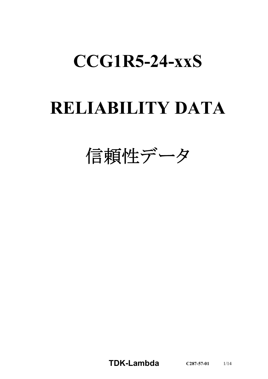# **CCG1R5-24-xxS**

# **RELIABILITY DATA**

信頼性データ

**TDK-Lambda C287-57-01** 1/14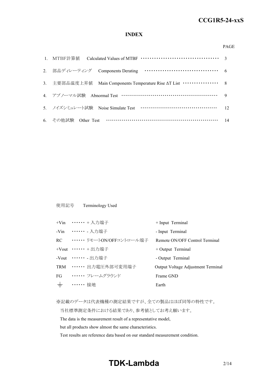#### **INDEX**

#### PAGE

| 3. 主要部品温度上昇值 Main Components Temperature Rise $\Delta T$ List ··············· 8 |                |
|---------------------------------------------------------------------------------|----------------|
| 4. アブノーマル試験 Abnormal Test …………………………………………………… 9                                |                |
| 5. ノイズシミュレート試験 Noise Simulate Test ……………………………………                               | $\frac{12}{2}$ |
| 6. その他試験 Other Test ……………………………………………………… 14                                    |                |

使用記号 Terminology Used

|       | +Vin …… + 入力端子                  | + Input Terminal                   |
|-------|---------------------------------|------------------------------------|
|       | -Vin ……… 入力端子                   | - Input Terminal                   |
|       | RC - ・・・・・・・ リモートON/OFFコントロール端子 | Remote ON/OFF Control Terminal     |
|       | +Vout …… + 出力端子                 | $+$ Output Terminal                |
|       | -Vout ……… 出力端子                  | - Output Terminal                  |
|       | TRM …… 出力電圧外部可変用端子              | Output Voltage Adjustment Terminal |
|       | FG …… フレームグラウンド                 | Frame GND                          |
| $\pm$ | ・・・・・・ 接地                       | Earth                              |

※記載のデータは代表機種の測定結果ですが、全ての製品はほぼ同等の特性です。

当社標準測定条件における結果であり、参考値としてお考え願います。

The data is the measurement result of a representative model,

but all products show almost the same characteristics.

Test results are reference data based on our standard measurement condition.

## **TDK-Lambda**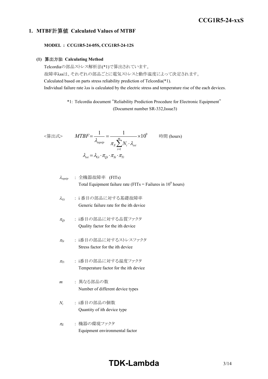#### **1. MTBF**計算値 **Calculated Values of MTBF**

**MODEL : CCG1R5-24-05S, CCG1R5-24-12S**

#### **(1)** 算出方法 **Calculating Method**

Telcordiaの部品ストレス解析法(\*1)で算出されています。 故障率λssは、それぞれの部品ごとに電気ストレスと動作温度によって決定されます。 Calculated based on parts stress reliability prediction of Telcordia(\*1). Individual failure rate λss is calculated by the electric stress and temperature rise of the each devices.

> \*1: Telcordia document "Reliability Prediction Procedure for Electronic Equipment" (Document number SR-332,Issue3)

$$
\langle \hat{\mathbf{g}} | \mathbf{H} \mathbf{x} \rangle \qquad MTBF = \frac{1}{\lambda_{equip}} = \frac{1}{\pi_E \sum_{i=1}^{m} N_i \cdot \lambda_{ssi}} \times 10^9 \qquad \text{iff } (\text{hours})
$$
\n
$$
\lambda_{ssi} = \lambda_{Gi} \cdot \pi_{Qi} \cdot \pi_{Si} \cdot \pi_{Ti}
$$

$$
\lambda_{\text{equip}} : \hat{\pm} \circledR \circledR \circledR \circledR
$$
\n
$$
\lambda_{\text{equip}}
$$
\n
$$
\therefore \hat{\pm} \circledR \circledR
$$
\n
$$
\text{Total Equipment failure rate (FITs = Failure in 109 hours)}
$$

<sup>l</sup>*Gi* : i 番目の部品に対する基礎故障率 Generic failure rate for the ith device

- <sup>p</sup>*Qi* : i番目の部品に対する品質ファクタ Quality factor for the ith device
- <sup>p</sup>*Si* : i番目の部品に対するストレスファクタ Stress factor for the ith device
- <sup>p</sup>*Ti* : i番目の部品に対する温度ファクタ Temperature factor for the ith device
- *m* : 異なる部品の数 Number of different device types
- *Ni* : i番目の部品の個数 Quantity of ith device type
- <sup>p</sup>*<sup>E</sup>* : 機器の環境ファクタ Equipment environmental factor

# **TDK-Lambda**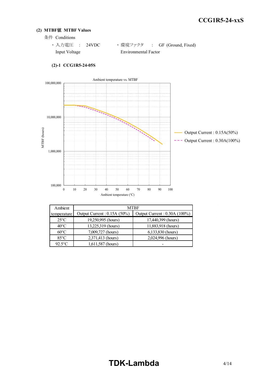#### **(2) MTBF**値 **MTBF Values**

- 条件 Conditions
	- · 入力電圧 : 24VDC ·環境ファクタ : GF (Ground, Fixed) Input Voltage Environmental Factor



#### **(2)-1 CCG1R5-24-05S**

| Ambient        | <b>MTBF</b>                 |                               |  |  |  |  |  |  |  |  |  |  |
|----------------|-----------------------------|-------------------------------|--|--|--|--|--|--|--|--|--|--|
| temperature    | Output Current: 0.15A (50%) | Output Current : 0.30A (100%) |  |  |  |  |  |  |  |  |  |  |
| $25^{\circ}$ C | 19,250,995 (hours)          | 17,440,399 (hours)            |  |  |  |  |  |  |  |  |  |  |
| $40^{\circ}$ C | 13,225,319 (hours)          | 11,883,918 (hours)            |  |  |  |  |  |  |  |  |  |  |
| $60^{\circ}$ C | 7,009,727 (hours)           | 6,133,830 (hours)             |  |  |  |  |  |  |  |  |  |  |
| $85^{\circ}$ C | 2,371,413 (hours)           | 2,024,996 (hours)             |  |  |  |  |  |  |  |  |  |  |
| $92.5$ °C      | 1,611,587 (hours)           |                               |  |  |  |  |  |  |  |  |  |  |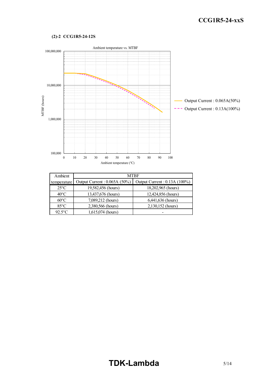#### **(2)-2 CCG1R5-24-12S**



| Ambient        | <b>MTBF</b>                  |                              |  |  |  |  |  |  |  |  |
|----------------|------------------------------|------------------------------|--|--|--|--|--|--|--|--|
| temperature    | Output Current: 0.065A (50%) | Output Current: 0.13A (100%) |  |  |  |  |  |  |  |  |
| $25^{\circ}$ C | 19,582,456 (hours)           | 18,202,965 (hours)           |  |  |  |  |  |  |  |  |
| $40^{\circ}$ C | 13,437,676 (hours)           | 12,424,856 (hours)           |  |  |  |  |  |  |  |  |
| $60^{\circ}$ C | 7,089,212 (hours)            | 6,441,636 (hours)            |  |  |  |  |  |  |  |  |
| $85^{\circ}$ C | 2,380,566 (hours)            | 2,130,152 (hours)            |  |  |  |  |  |  |  |  |
| $92.5$ °C      | 1,615,074 (hours)            |                              |  |  |  |  |  |  |  |  |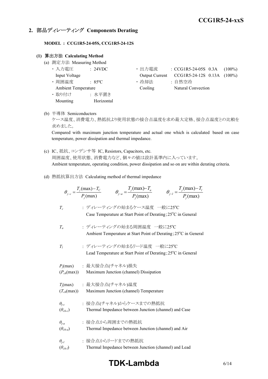## **2.** 部品ディレーティング **Components Derating**

**MODEL : CCG1R5-24-05S, CCG1R5-24-12S**

#### **(1)** 算出方法 **Calculating Method**

- (a) 測定方法 Measuring Method
	- ・ 入力電圧 : 24VDC ・ 出力電流 : CCG1R5-24-05S 0.3A (100%) Input Voltage Output Current CCG1R5-24-12S 0.13A (100%) • 周囲温度 : 85°C · 哈却法 : 自然空冷 Ambient Temperature Cooling Natural Convection ・ 取り付け : 水平置き Mounting Horizontal
- (b) 半導体 Semiconductors

ケース温度、消費電力、熱抵抗より使用状態の接合点温度を求め最大定格、接合点温度との比較を 求めました。

Compared with maximum junction temperature and actual one which is calculated based on case temperature, power dissipation and thermal impedance.

- (c) IC、抵抗、コンデンサ等 IC, Resistors, Capacitors, etc. 周囲温度、使用状態、消費電力など、個々の値は設計基準内に入っています。 Ambient temperature, operating condition, power dissipation and so on are within derating criteria.
- (d) 熱抵抗算出方法 Calculating method of thermal impedance

|                                     | $\theta_{j-c} = \frac{T_j(\text{max}) - T_c}{P_j(\text{max})}$ $\theta_{j-a} = \frac{T_j(\text{max}) - T_a}{P_j(\text{max})}$<br>$\theta_{j-l} = \frac{T_j(\text{max}) - T_l}{P_i(\text{max})}$ |  |
|-------------------------------------|-------------------------------------------------------------------------------------------------------------------------------------------------------------------------------------------------|--|
| $T_c$                               | : ディレーティングの始まるケース温度 一般に25℃<br>Case Temperature at Start Point of Derating; 25 <sup>o</sup> C in General                                                                                         |  |
| $T_a$                               | : ディレーティングの始まる周囲温度 一般に25℃<br>Ambient Temperature at Start Point of Derating; 25°C in General                                                                                                    |  |
| $T_I$                               | : ディレーティングの始まるリード温度 一般に25℃<br>Lead Temperature at Start Point of Derating; 25°C in General                                                                                                      |  |
| $(P_{ch}(\text{max}))$              | $P_i$ (max) : 最大接合点(チャネル)損失<br>Maximum Junction (channel) Dissipation                                                                                                                           |  |
| $(T_{ch}(\text{max}))$              | $T_j$ (max) : 最大接合点(チャネル)温度<br>Maximum Junction (channel) Temperature                                                                                                                           |  |
| $\theta_{j-c}$<br>$(\theta_{ch-c})$ | : 接合点(チャネル)からケースまでの熱抵抗<br>Thermal Impedance between Junction (channel) and Case                                                                                                                 |  |
| $\theta_{j-a}$<br>$(\theta_{ch-a})$ | : 接合点から周囲までの熱抵抗<br>Thermal Impedance between Junction (channel) and Air                                                                                                                         |  |
| $\theta_{i-l}$<br>$(\theta_{ch-l})$ | : 接合点からリードまでの熱抵抗<br>Thermal Impedance between Junction (channel) and Lead                                                                                                                       |  |

## **TDK-Lambda** 6/14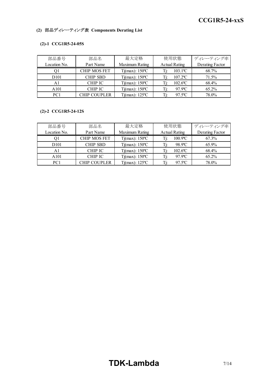### **(2)** 部品ディレーティング表 **Components Derating List**

#### **(2)-1 CCG1R5-24-05S**

| 部品番号             | 部品名                 | 最大定格                           | 使用状態                   | ディレーティング率       |
|------------------|---------------------|--------------------------------|------------------------|-----------------|
| Location No.     | Part Name           | Maximum Rating                 | <b>Actual Rating</b>   | Derating Factor |
|                  | <b>CHIP MOS FET</b> | $Tj(max)$ : 150 °C             | $103.1$ <sup>o</sup> C | 68.7%           |
| D <sub>101</sub> | <b>CHIP SBD</b>     | $Tj(max)$ : 150 °C             | $107.2$ <sup>o</sup> C | 71.5%           |
| Al               | <b>CHIP IC</b>      | $Tj(max)$ : 150 °C             | $102.6$ °C             | 68.4%           |
| A101             | <b>CHIP IC</b>      | $Tj(max)$ : 150 °C             | 97.9°C                 | 65.2%           |
| PC <sub>1</sub>  | <b>CHIP COUPLER</b> | $Tj(max)$ : 125 <sup>o</sup> C | $97.5$ °C              | 78.0%           |

#### **(2)-2 CCG1R5-24-12S**

| 部品番号             | 部品名                 | 最大定格               | 使用状態                 | ディレーティング率       |
|------------------|---------------------|--------------------|----------------------|-----------------|
| Location No.     | Part Name           | Maximum Rating     | <b>Actual Rating</b> | Derating Factor |
| Οl               | <b>CHIP MOS FET</b> | $Tj(max)$ : 150 °C | $100.9$ °C           | 67.3%           |
| D <sub>101</sub> | <b>CHIP SBD</b>     | $Tj(max)$ : 150 °C | 98.9°C               | 65.9%           |
| A1               | <b>CHIP IC</b>      | $Tj(max)$ : 150 °C | $102.6$ °C           | 68.4%           |
| A101             | <b>CHIP IC</b>      | $Tj(max)$ : 150 °C | 97.9°C               | 65.2%           |
| PC <sub>1</sub>  | <b>CHIP COUPLER</b> | $Ti(max)$ : 125 °C | $97.5$ °C            | 78.0%           |

# **TDK-Lambda** 7/14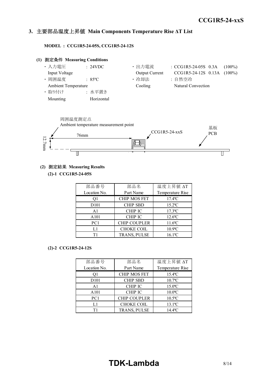#### *INSTRUCTION MANUAL* **3.** 主要部品温度上昇値 **Main Components Temperature Rise ΔT List**

**MODEL : CCG1R5-24-05S, CCG1R5-24-12S**





#### **(2)** 測定結果 **Measuring Results**

**(2)-1 CCG1R5-24-05S**

| 部品番号              | 部品名                 | 温度上昇值 ΔT              |
|-------------------|---------------------|-----------------------|
| Location No.      | Part Name           | Temperature Rise      |
| O1                | <b>CHIP MOS FET</b> | $17.4$ <sup>o</sup> C |
| D <sub>10</sub> 1 | <b>CHIP SBD</b>     | $15.2$ <sup>o</sup> C |
| A <sub>1</sub>    | <b>CHIP IC</b>      | $17.3$ <sup>o</sup> C |
| A101              | <b>CHIP IC</b>      | $12.6$ °C             |
| PC1               | <b>CHIP COUPLER</b> | $11.6$ °C             |
| L1                | <b>CHOKE COIL</b>   | $10.9$ °C             |
| Τ1                | TRANS, PULSE        | $16.1$ <sup>o</sup> C |

#### **(2)-2 CCG1R5-24-12S**

| 部品番号              | 部品名                 | 温度上昇值 ΔT              |  |  |  |  |
|-------------------|---------------------|-----------------------|--|--|--|--|
| Location No.      | Part Name           | Temperature Rise      |  |  |  |  |
| O1                | <b>CHIP MOS FET</b> | $15.4$ <sup>o</sup> C |  |  |  |  |
| D <sub>10</sub> 1 | <b>CHIP SBD</b>     | $10.7$ °C             |  |  |  |  |
| A <sub>1</sub>    | <b>CHIP IC</b>      | $15.0$ <sup>o</sup> C |  |  |  |  |
| A101              | <b>CHIP IC</b>      | $10.0$ <sup>o</sup> C |  |  |  |  |
| PC1               | CHIP COUPLER        | $10.5^{\circ}$ C      |  |  |  |  |
| L1                | <b>CHOKE COIL</b>   | $13.1^{\circ}$ C      |  |  |  |  |
| Τ1                | TRANS, PULSE        | $14.4$ <sup>o</sup> C |  |  |  |  |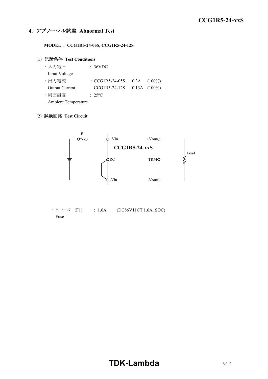### **4.** アブノーマル試験 **Abnormal Test**

**MODEL : CCG1R5-24-05S, CCG1R5-24-12S**

#### **(1)** 試験条件 **Test Conditions**

| ・入力電圧                      | : 36VDC           |                   |
|----------------------------|-------------------|-------------------|
| Input Voltage              |                   |                   |
| ・出力電流                      | : $CCG1R5-24-05S$ | $0.3A$ $(100\%)$  |
| Output Current             | CCG1R5-24-12S     | $0.13A$ $(100\%)$ |
| ・周囲温度                      | $: 25^{\circ}$ C  |                   |
| <b>Ambient Temperature</b> |                   |                   |

#### **(2)** 試験回路 **Test Circuit**



• ヒューズ (F1) : 1.6A (DC86V11CT 1.6A, SOC) Fuse

# **TDK-Lambda**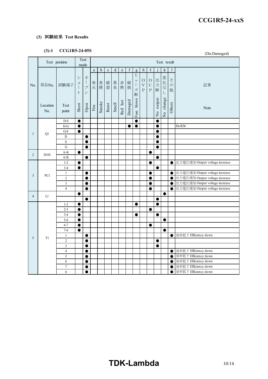(Da:Damaged)

#### **(3)** 試験結果 **Test Results**

## **(3)-1 CCG1R5-24-05S**

|                |                  | Test position                  |                     | Test<br>mode                                  |          | Test result |             |             |         |             |                                    |                                                        |                                               |           |               | $\tilde{\phantom{a}}$<br>$\overline{\phantom{a}}$ |                                |
|----------------|------------------|--------------------------------|---------------------|-----------------------------------------------|----------|-------------|-------------|-------------|---------|-------------|------------------------------------|--------------------------------------------------------|-----------------------------------------------|-----------|---------------|---------------------------------------------------|--------------------------------|
|                |                  |                                |                     |                                               | $\rm{a}$ | $\mathbf b$ | $\mathbf c$ | $\mathbf d$ | $\rm e$ | $\mathbf f$ | g                                  | $\,h$                                                  | I                                             |           | k             |                                                   |                                |
| No.            | 部品No.            | 試験端子                           | シ<br>$\exists$<br>F | 才<br>$\mathcal{I}$<br>$\mathcal{I}$<br>$\vee$ | 発<br>火   | 発<br>煙      | 破裂          | 異<br>臭      | 赤<br>熱  | 破<br>損      | ヒ<br>$\equiv$<br>$\vert$<br>ズ<br>断 | $\circ$<br>$\ensuremath{\mathbf{V}}$<br>$\overline{P}$ | $\mathcal O$<br>$\mathbf C$<br>$\overline{P}$ | 出力<br>断   | 変化な<br>$\cup$ | z<br>$\mathcal{O}$<br>他                           | 記事                             |
|                | Location<br>No.  | Test<br>point                  | Short               | ${\bf Open}$                                  | Fire     | Smoke       | Burst       | Smell       | Red hot | Damaged     | Fuse blown                         |                                                        |                                               | No output | No change     | Others                                            | Note                           |
|                |                  | $D-S$                          | $\bullet$           |                                               |          |             |             |             |         |             | $\bullet$                          |                                                        |                                               | $\bullet$ |               |                                                   |                                |
|                |                  | $D-G$                          | $\bullet$           |                                               |          |             |             |             |         | $\bullet$   | $\bullet$                          |                                                        |                                               | $\bullet$ |               |                                                   | Da:R36                         |
| $\mathbf{1}$   | Q1               | G-S                            | $\bullet$           |                                               |          |             |             |             |         |             |                                    |                                                        |                                               | $\bullet$ |               |                                                   |                                |
|                |                  | D                              |                     | $\bullet$                                     |          |             |             |             |         |             |                                    |                                                        |                                               | $\bullet$ |               |                                                   |                                |
|                |                  | S                              |                     | $\bullet$                                     |          |             |             |             |         |             |                                    |                                                        |                                               | $\bullet$ |               |                                                   |                                |
|                |                  | G                              |                     | $\bullet$                                     |          |             |             |             |         |             |                                    |                                                        |                                               | $\bullet$ |               |                                                   |                                |
| $\overline{2}$ | D <sub>101</sub> | $\mathrm{A}\text{-}\mathrm{K}$ | ●                   |                                               |          |             |             |             |         |             |                                    |                                                        | e                                             |           |               |                                                   |                                |
|                |                  | $\rm A/K$                      |                     | $\bullet$                                     |          |             |             |             |         |             |                                    |                                                        |                                               | $\bullet$ |               |                                                   |                                |
|                |                  | $1-2$                          | $\bullet$           |                                               |          |             |             |             |         |             |                                    |                                                        | $\bullet$                                     |           |               | $\bullet$                                         | 出力電圧増加 Output voltage increase |
|                |                  | $3 - 4$                        | $\bullet$           |                                               |          |             |             |             |         |             |                                    |                                                        |                                               | $\bullet$ |               |                                                   |                                |
| $\mathfrak{Z}$ | PC1              | $\mathbf{1}$                   |                     | $\bullet$                                     |          |             |             |             |         |             |                                    |                                                        | 0                                             |           |               | $\bullet$                                         | 出力電圧増加 Output voltage increase |
|                |                  | $\overline{c}$                 |                     | 0                                             |          |             |             |             |         |             |                                    |                                                        | 0                                             |           |               | $\bullet$                                         | 出力電圧増加 Output voltage increase |
|                |                  | 3                              |                     | $\bullet$                                     |          |             |             |             |         |             |                                    |                                                        |                                               |           |               | $\bullet$                                         | 出力電圧増加 Output voltage increase |
|                |                  | $\overline{4}$                 |                     | $\bullet$                                     |          |             |             |             |         |             |                                    |                                                        | $\bullet$                                     |           |               | $\bullet$                                         | 出力電圧増加 Output voltage increase |
| $\overline{4}$ | L1               |                                |                     |                                               |          |             |             |             |         |             |                                    |                                                        |                                               |           | $\bullet$     |                                                   |                                |
|                |                  |                                |                     | 0                                             |          |             |             |             |         |             |                                    |                                                        |                                               | 0         |               |                                                   |                                |
|                |                  | $1 - 2$                        | ●                   |                                               |          |             |             |             |         |             | ●                                  |                                                        |                                               | $\bullet$ |               |                                                   |                                |
|                |                  | $2 - 3$                        | $\bullet$           |                                               |          |             |             |             |         |             |                                    |                                                        | $\bullet$                                     |           |               |                                                   |                                |
|                |                  | $3-4$                          | $\bullet$           |                                               |          |             |             |             |         |             | $\bullet$                          |                                                        |                                               | $\bullet$ |               |                                                   |                                |
|                |                  | $5-6$                          | ●                   |                                               |          |             |             |             |         |             |                                    |                                                        |                                               |           |               |                                                   |                                |
|                |                  | $6 - 7$                        | 0                   |                                               |          |             |             |             |         |             |                                    |                                                        | 0                                             |           |               |                                                   |                                |
|                |                  | $7 - 8$                        | $\bullet$           |                                               |          |             |             |             |         |             |                                    |                                                        |                                               |           | $\bullet$     |                                                   |                                |
| 5              | T1               | $\mathbf{1}$                   |                     | $\bullet$                                     |          |             |             |             |         |             |                                    |                                                        |                                               |           |               | $\bullet$                                         | 効率低下 Efficiency down           |
|                |                  | $\overline{c}$                 |                     | $\bullet$                                     |          |             |             |             |         |             |                                    |                                                        |                                               | $\bullet$ |               |                                                   |                                |
|                |                  | 3                              |                     | $\bullet$                                     |          |             |             |             |         |             |                                    |                                                        |                                               | $\bullet$ |               |                                                   |                                |
|                |                  | $\overline{4}$                 |                     | $\bullet$                                     |          |             |             |             |         |             |                                    |                                                        |                                               |           |               | $\bullet$                                         | 効率低下 Efficiency down           |
|                |                  | 5                              |                     | $\bullet$                                     |          |             |             |             |         |             |                                    |                                                        |                                               |           |               | $\bullet$                                         | 効率低下 Efficiency down           |
|                |                  | 6                              |                     | $\bullet$                                     |          |             |             |             |         |             |                                    |                                                        |                                               |           |               | $\bullet$                                         | 効率低下 Efficiency down           |
|                |                  | $\boldsymbol{7}$               |                     | $\bullet$                                     |          |             |             |             |         |             |                                    |                                                        |                                               |           |               | 0                                                 | 効率低下 Efficiency down           |
|                |                  | 8                              |                     | $\bullet$                                     |          |             |             |             |         |             |                                    |                                                        |                                               |           |               | $\bullet$                                         | 効率低下 Efficiency down           |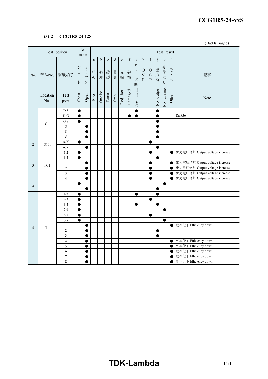#### **(3)-2 CCG1R5-24-12S**

(Da:Damaged)

|                |                 | Test position      |                                      | Test<br>mode                                                    | Test result |             |             |         |                                                                                |             |                                          |                                                    |                                                |                                      |           |                         |                                |
|----------------|-----------------|--------------------|--------------------------------------|-----------------------------------------------------------------|-------------|-------------|-------------|---------|--------------------------------------------------------------------------------|-------------|------------------------------------------|----------------------------------------------------|------------------------------------------------|--------------------------------------|-----------|-------------------------|--------------------------------|
|                |                 |                    |                                      |                                                                 | $\rm{a}$    | $\mathbf b$ | $\mathbf c$ | $\rm d$ | $\mathbf{e}% _{B}=\mathbf{e}_{B}+\mathbf{e}_{B}+\mathbf{e}_{B}+\mathbf{e}_{B}$ | $\mathbf f$ | $\mathbf{g}$                             | h                                                  | 1                                              |                                      | k         |                         |                                |
| No.            | 部品No.           | 試験端子               | $\ddot{\checkmark}$<br>$\equiv$<br>ŀ | 才<br>$\begin{array}{c} \hline \end{array}$<br>プ<br>$\checkmark$ | 発<br>火      | 発<br>煙      | 破<br>裂      | 異<br>臭  | 赤<br>熱                                                                         | 破<br>損      | E<br>$\equiv$<br>$\mathcal{I}$<br>ズ<br>断 | $\bigcirc$<br>$\boldsymbol{\mathrm{V}}$<br>$\rm P$ | $\bigcirc$<br>$\overline{C}$<br>$\overline{P}$ | 出<br>$\ensuremath{\mathcal{F}}$<br>断 | 変化なし      | z<br>$\mathcal{O}$<br>他 | 記事                             |
|                | Location<br>No. | Test<br>point      | Short                                | Open                                                            | Fire        | Smoke       | Burst       | Smell   | Red hot                                                                        | Damaged     | blown<br>Fuse                            |                                                    |                                                | output<br>$\frac{1}{2}$              | No change | Others                  | Note                           |
|                |                 | $D-S$              | $\bullet$                            |                                                                 |             |             |             |         |                                                                                |             | $\bullet$                                |                                                    |                                                | $\bullet$                            |           |                         |                                |
|                |                 | $D-G$              | $\bullet$                            |                                                                 |             |             |             |         |                                                                                | ●           | $\bullet$                                |                                                    |                                                | 0                                    |           |                         | Da:R36                         |
| $\mathbf{1}$   | Q1              | $G-S$              | $\bullet$                            |                                                                 |             |             |             |         |                                                                                |             |                                          |                                                    |                                                | ●                                    |           |                         |                                |
|                |                 | D                  |                                      | $\bullet$                                                       |             |             |             |         |                                                                                |             |                                          |                                                    |                                                | e                                    |           |                         |                                |
|                |                 | $\mathbf S$        |                                      | $\bullet$                                                       |             |             |             |         |                                                                                |             |                                          |                                                    |                                                |                                      |           |                         |                                |
|                |                 | G                  |                                      | $\bullet$                                                       |             |             |             |         |                                                                                |             |                                          |                                                    |                                                |                                      |           |                         |                                |
| $\overline{2}$ | D101            | $A-K$              | $\bullet$                            |                                                                 |             |             |             |         |                                                                                |             |                                          |                                                    | $\bullet$                                      |                                      |           |                         |                                |
|                |                 | A/K                |                                      | $\bullet$                                                       |             |             |             |         |                                                                                |             |                                          |                                                    |                                                | $\bullet$                            |           |                         |                                |
|                |                 | $1 - 2$<br>$3 - 4$ | $\bullet$<br>$\bullet$               |                                                                 |             |             |             |         |                                                                                |             |                                          |                                                    | ●                                              |                                      |           | $\bullet$               | 出力電圧増加 Output voltage increase |
|                |                 | $\mathbf{1}$       |                                      |                                                                 |             |             |             |         |                                                                                |             |                                          |                                                    | $\bullet$                                      | $\bullet$                            |           |                         | 出力電圧増加 Output voltage increase |
| 3              | PC1             | $\overline{c}$     |                                      | $\bullet$<br>$\bullet$                                          |             |             |             |         |                                                                                |             |                                          |                                                    | ●                                              |                                      |           | $\bullet$<br>$\bullet$  | 出力電圧増加 Output voltage increase |
|                |                 | 3                  |                                      | $\bullet$                                                       |             |             |             |         |                                                                                |             |                                          |                                                    |                                                |                                      |           | $\bullet$               | 出力電圧増加 Output voltage increase |
|                |                 | $\overline{4}$     |                                      | $\bullet$                                                       |             |             |             |         |                                                                                |             |                                          |                                                    |                                                |                                      |           | $\bullet$               | 出力電圧増加 Output voltage increase |
|                |                 |                    | ●                                    |                                                                 |             |             |             |         |                                                                                |             |                                          |                                                    |                                                |                                      | $\bullet$ |                         |                                |
| $\overline{4}$ | L1              |                    |                                      | $\bullet$                                                       |             |             |             |         |                                                                                |             |                                          |                                                    |                                                | $\bullet$                            |           |                         |                                |
|                |                 | $1 - 2$            | $\bullet$                            |                                                                 |             |             |             |         |                                                                                |             | $\bullet$                                |                                                    |                                                | $\bullet$                            |           |                         |                                |
|                |                 | $2 - 3$            | 0                                    |                                                                 |             |             |             |         |                                                                                |             |                                          |                                                    | $\bullet$                                      |                                      |           |                         |                                |
|                |                 | $3 - 4$            | $\bullet$                            |                                                                 |             |             |             |         |                                                                                |             | ●                                        |                                                    |                                                | $\bullet$                            |           |                         |                                |
|                |                 | $5 - 6$            | $\bullet$                            |                                                                 |             |             |             |         |                                                                                |             |                                          |                                                    |                                                |                                      | $\bullet$ |                         |                                |
|                |                 | $6 - 7$            | $\bullet$                            |                                                                 |             |             |             |         |                                                                                |             |                                          |                                                    | $\bullet$                                      |                                      |           |                         |                                |
|                |                 | $7 - 8$            | $\bullet$                            |                                                                 |             |             |             |         |                                                                                |             |                                          |                                                    |                                                |                                      | $\bullet$ |                         |                                |
| 5              | T1              | $\mathbf{1}$       |                                      | $\bullet$                                                       |             |             |             |         |                                                                                |             |                                          |                                                    |                                                |                                      |           | $\bullet$               | 効率低下 Efficiency down           |
|                |                 | $\overline{2}$     |                                      | $\bullet$                                                       |             |             |             |         |                                                                                |             |                                          |                                                    |                                                | e                                    |           |                         |                                |
|                |                 | 3                  |                                      | $\bullet$                                                       |             |             |             |         |                                                                                |             |                                          |                                                    |                                                | $\bullet$                            |           |                         |                                |
|                |                 | $\overline{4}$     |                                      | $\bullet$                                                       |             |             |             |         |                                                                                |             |                                          |                                                    |                                                |                                      |           | $\bullet$               | 効率低下 Efficiency down           |
|                |                 | 5                  |                                      | $\bullet$                                                       |             |             |             |         |                                                                                |             |                                          |                                                    |                                                |                                      |           | $\bullet$               | 効率低下 Efficiency down           |
|                |                 | 6                  |                                      | $\bullet$                                                       |             |             |             |         |                                                                                |             |                                          |                                                    |                                                |                                      |           |                         | 効率低下 Efficiency down           |
|                |                 | $\overline{7}$     |                                      | $\bullet$                                                       |             |             |             |         |                                                                                |             |                                          |                                                    |                                                |                                      |           |                         | 効率低下 Efficiency down           |
|                |                 | $\,8\,$            |                                      | $\bullet$                                                       |             |             |             |         |                                                                                |             |                                          |                                                    |                                                |                                      |           | $\bullet$               | 効率低下 Efficiency down           |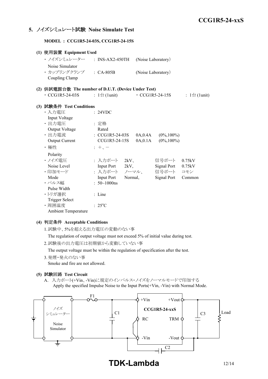#### **5.** ノイズシミュレート試験 **Noise Simulate Test**

**MODEL : CCG1R5-24-03S, CCG1R5-24-15S**

|  | (1) 使用装置 Equipment Used                                     |  |                                    |         |                     |                       |                              |
|--|-------------------------------------------------------------|--|------------------------------------|---------|---------------------|-----------------------|------------------------------|
|  | ・ ノイズシミュレーター : INS-AX2-450TH                                |  |                                    |         | (Noise Laboratory)  |                       |                              |
|  | Noise Simulator<br>· カップリングクランプ : CA-805B<br>Coupling Clamp |  |                                    |         | (Noise Laboratory)  |                       |                              |
|  | (2) 供試電源台数 The number of D.U.T. (Device Under Test)         |  |                                    |         |                     |                       |                              |
|  | $\cdot$ CCG1R5-24-03S                                       |  | : $1 \oplus (1 \text{unit})$       |         |                     | $\cdot$ CCG1R5-24-15S | : $1 \oplus (1 \text{unit})$ |
|  | (3) 試験条件 Test Conditions                                    |  |                                    |         |                     |                       |                              |
|  | ・入力電圧<br>Input Voltage                                      |  | : 24VDC                            |         |                     |                       |                              |
|  | ・出力電圧                                                       |  | : 定格<br>Rated                      |         |                     |                       |                              |
|  | Output Voltage<br>· 出力電流                                    |  | : $CCG1R5-24-03S$<br>CCG1R5-24-15S |         | 0A,0.4A<br>0A, 0.1A | $(0\%, 100\%)$        |                              |
|  | Output Current<br>・極性                                       |  | $: +$                              |         |                     | $(0\%, 100\%)$        |                              |
|  | Polarity                                                    |  |                                    |         |                     |                       |                              |
|  | ・ノイズ雷圧                                                      |  | : 入力ポート                            | 2kV     |                     | 信号ポート                 | 0.75kV                       |
|  | Noise Level                                                 |  | Input Port 2kV,                    |         |                     | Signal Port           | 0.75kV                       |
|  | ・印加モード                                                      |  | : 入力ポート ノーマル、                      |         |                     | 信号ポート                 | コモン                          |
|  | Mode                                                        |  | <b>Input Port</b>                  | Normal, |                     | Signal Port           | Common                       |
|  | ・パルス幅                                                       |  | : $50 \sim 1000$ ns                |         |                     |                       |                              |
|  | Pulse Width                                                 |  |                                    |         |                     |                       |                              |
|  | ・トリガ選択                                                      |  | : Line                             |         |                     |                       |                              |
|  | <b>Trigger Select</b>                                       |  |                                    |         |                     |                       |                              |
|  | ·周囲温度                                                       |  | $: 25^{\circ}C$                    |         |                     |                       |                              |
|  | Ambient Temperature                                         |  |                                    |         |                     |                       |                              |

#### **(4)** 判定条件 **Acceptable Conditions**

1.試験中、5%を超える出力電圧の変動のない事

The regulation of output voltage must not exceed 5% of initial value during test.

2.試験後の出力電圧は初期値から変動していない事

The output voltage must be within the regulation of specification after the test.

3.発煙・発火のない事

Smoke and fire are not allowed.

#### **(5)** 試験回路 **Test Circuit**

A. 入力ポート(+Vin、-Vin)に規定のインパルス・ノイズをノーマルモードで印加する Apply the specified Impulse Noise to the Input Ports(+Vin, -Vin) with Normal Mode.



**TDK-Lambda** 12/14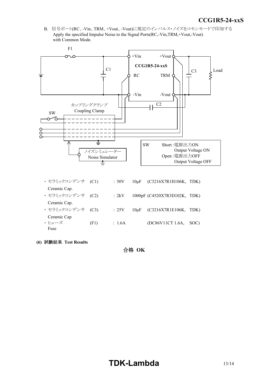*INSTRUCTION MANUAL* B. 信号ポート(RC、-Vin、TRM、+Vout、-Vout)に規定のインパルス・ノイズをコモンモードで印加する Apply the specified Impulse Noise to the Signal Ports(RC,-Vin,TRM,+Vout,-Vout) with Common Mode.



**(6)** 試験結果 **Test Results**

合格 **OK**